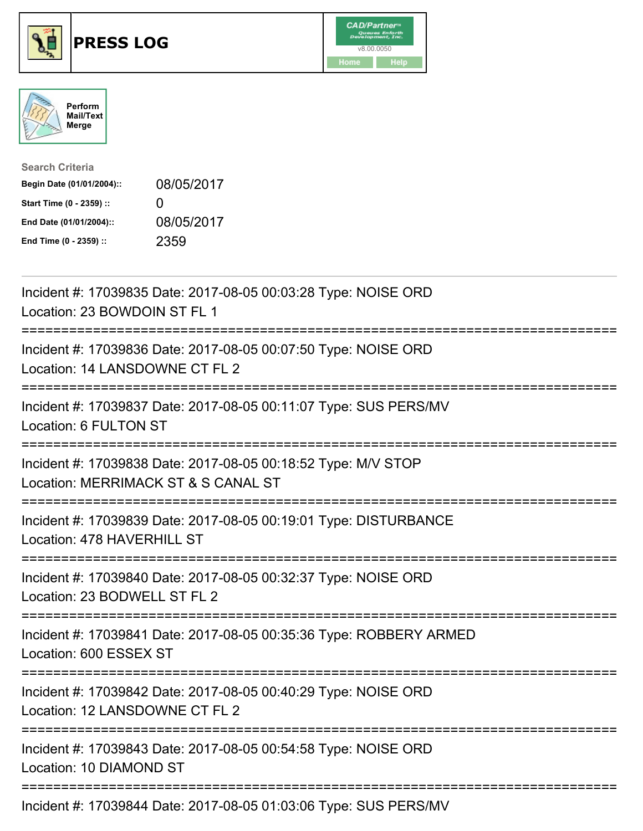





| <b>Search Criteria</b>    |                   |
|---------------------------|-------------------|
| Begin Date (01/01/2004):: | 08/05/2017        |
| Start Time (0 - 2359) ::  | $\mathbf{\Omega}$ |
| End Date (01/01/2004)::   | 08/05/2017        |
| End Time (0 - 2359) ::    | 2359              |

| Incident #: 17039835 Date: 2017-08-05 00:03:28 Type: NOISE ORD<br>Location: 23 BOWDOIN ST FL 1                                                        |
|-------------------------------------------------------------------------------------------------------------------------------------------------------|
| Incident #: 17039836 Date: 2017-08-05 00:07:50 Type: NOISE ORD<br>Location: 14 LANSDOWNE CT FL 2<br>----------------<br>----------------------------- |
| Incident #: 17039837 Date: 2017-08-05 00:11:07 Type: SUS PERS/MV<br>Location: 6 FULTON ST<br>--------------                                           |
| Incident #: 17039838 Date: 2017-08-05 00:18:52 Type: M/V STOP<br>Location: MERRIMACK ST & S CANAL ST<br>============================                  |
| Incident #: 17039839 Date: 2017-08-05 00:19:01 Type: DISTURBANCE<br>Location: 478 HAVERHILL ST                                                        |
| Incident #: 17039840 Date: 2017-08-05 00:32:37 Type: NOISE ORD<br>Location: 23 BODWELL ST FL 2                                                        |
| Incident #: 17039841 Date: 2017-08-05 00:35:36 Type: ROBBERY ARMED<br>Location: 600 ESSEX ST                                                          |
| Incident #: 17039842 Date: 2017-08-05 00:40:29 Type: NOISE ORD<br>Location: 12 LANSDOWNE CT FL 2<br>;==========================                       |
| Incident #: 17039843 Date: 2017-08-05 00:54:58 Type: NOISE ORD<br>Location: 10 DIAMOND ST                                                             |
| Incident #: 17039844 Date: 2017-08-05 01:03:06 Type: SUS PERS/MV                                                                                      |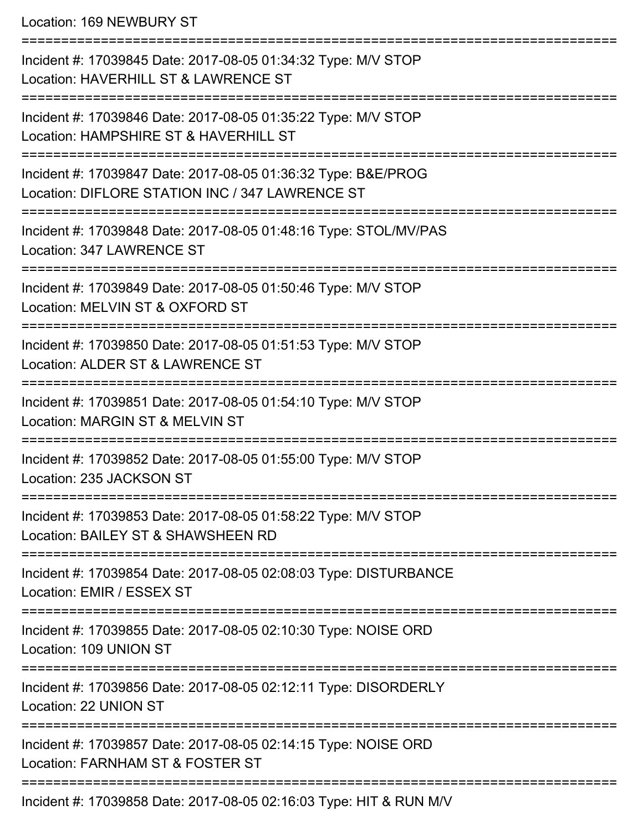Location: 169 NEWBURY ST

| Incident #: 17039845 Date: 2017-08-05 01:34:32 Type: M/V STOP<br>Location: HAVERHILL ST & LAWRENCE ST            |
|------------------------------------------------------------------------------------------------------------------|
| Incident #: 17039846 Date: 2017-08-05 01:35:22 Type: M/V STOP<br>Location: HAMPSHIRE ST & HAVERHILL ST           |
| Incident #: 17039847 Date: 2017-08-05 01:36:32 Type: B&E/PROG<br>Location: DIFLORE STATION INC / 347 LAWRENCE ST |
| Incident #: 17039848 Date: 2017-08-05 01:48:16 Type: STOL/MV/PAS<br>Location: 347 LAWRENCE ST                    |
| Incident #: 17039849 Date: 2017-08-05 01:50:46 Type: M/V STOP<br>Location: MELVIN ST & OXFORD ST                 |
| Incident #: 17039850 Date: 2017-08-05 01:51:53 Type: M/V STOP<br>Location: ALDER ST & LAWRENCE ST                |
| Incident #: 17039851 Date: 2017-08-05 01:54:10 Type: M/V STOP<br>Location: MARGIN ST & MELVIN ST                 |
| Incident #: 17039852 Date: 2017-08-05 01:55:00 Type: M/V STOP<br>Location: 235 JACKSON ST                        |
| Incident #: 17039853 Date: 2017-08-05 01:58:22 Type: M/V STOP<br>Location: BAILEY ST & SHAWSHEEN RD              |
| Incident #: 17039854 Date: 2017-08-05 02:08:03 Type: DISTURBANCE<br>Location: EMIR / ESSEX ST                    |
| Incident #: 17039855 Date: 2017-08-05 02:10:30 Type: NOISE ORD<br>Location: 109 UNION ST                         |
| Incident #: 17039856 Date: 2017-08-05 02:12:11 Type: DISORDERLY<br>Location: 22 UNION ST                         |
| Incident #: 17039857 Date: 2017-08-05 02:14:15 Type: NOISE ORD<br>Location: FARNHAM ST & FOSTER ST               |
| =================================<br>Incident #: 17039858 Date: 2017-08-05 02:16:03 Type: HIT & RUN M/V          |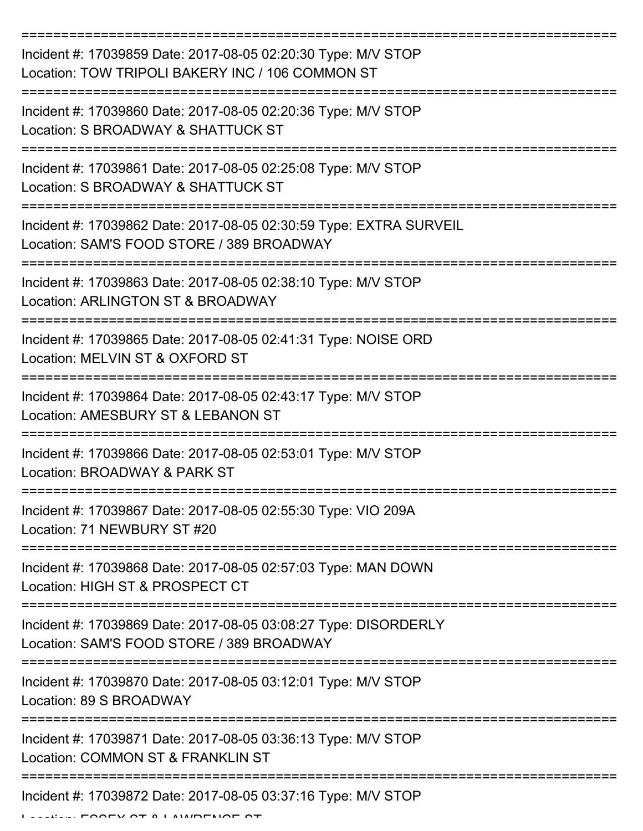| Incident #: 17039859 Date: 2017-08-05 02:20:30 Type: M/V STOP<br>Location: TOW TRIPOLI BAKERY INC / 106 COMMON ST |
|-------------------------------------------------------------------------------------------------------------------|
| Incident #: 17039860 Date: 2017-08-05 02:20:36 Type: M/V STOP<br>Location: S BROADWAY & SHATTUCK ST               |
| Incident #: 17039861 Date: 2017-08-05 02:25:08 Type: M/V STOP<br>Location: S BROADWAY & SHATTUCK ST               |
| Incident #: 17039862 Date: 2017-08-05 02:30:59 Type: EXTRA SURVEIL<br>Location: SAM'S FOOD STORE / 389 BROADWAY   |
| Incident #: 17039863 Date: 2017-08-05 02:38:10 Type: M/V STOP<br>Location: ARLINGTON ST & BROADWAY                |
| Incident #: 17039865 Date: 2017-08-05 02:41:31 Type: NOISE ORD<br>Location: MELVIN ST & OXFORD ST                 |
| Incident #: 17039864 Date: 2017-08-05 02:43:17 Type: M/V STOP<br>Location: AMESBURY ST & LEBANON ST               |
| Incident #: 17039866 Date: 2017-08-05 02:53:01 Type: M/V STOP<br>Location: BROADWAY & PARK ST                     |
| Incident #: 17039867 Date: 2017-08-05 02:55:30 Type: VIO 209A<br>Location: 71 NEWBURY ST #20                      |
| Incident #: 17039868 Date: 2017-08-05 02:57:03 Type: MAN DOWN<br>Location: HIGH ST & PROSPECT CT                  |
| Incident #: 17039869 Date: 2017-08-05 03:08:27 Type: DISORDERLY<br>Location: SAM'S FOOD STORE / 389 BROADWAY      |
| Incident #: 17039870 Date: 2017-08-05 03:12:01 Type: M/V STOP<br>Location: 89 S BROADWAY                          |
| Incident #: 17039871 Date: 2017-08-05 03:36:13 Type: M/V STOP<br>Location: COMMON ST & FRANKLIN ST                |
| Incident #: 17039872 Date: 2017-08-05 03:37:16 Type: M/V STOP                                                     |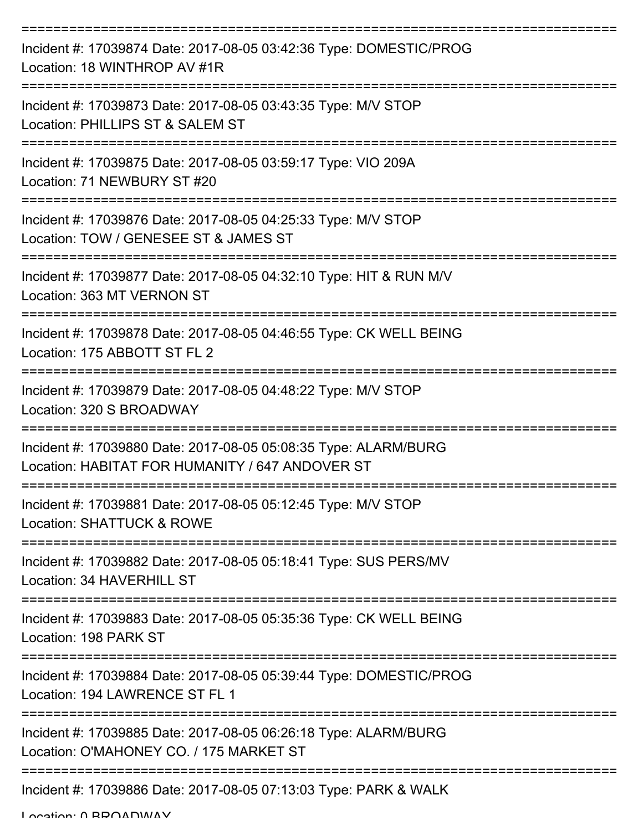| Incident #: 17039874 Date: 2017-08-05 03:42:36 Type: DOMESTIC/PROG<br>Location: 18 WINTHROP AV #1R                 |
|--------------------------------------------------------------------------------------------------------------------|
| Incident #: 17039873 Date: 2017-08-05 03:43:35 Type: M/V STOP<br>Location: PHILLIPS ST & SALEM ST                  |
| Incident #: 17039875 Date: 2017-08-05 03:59:17 Type: VIO 209A<br>Location: 71 NEWBURY ST #20                       |
| Incident #: 17039876 Date: 2017-08-05 04:25:33 Type: M/V STOP<br>Location: TOW / GENESEE ST & JAMES ST             |
| Incident #: 17039877 Date: 2017-08-05 04:32:10 Type: HIT & RUN M/V<br>Location: 363 MT VERNON ST                   |
| Incident #: 17039878 Date: 2017-08-05 04:46:55 Type: CK WELL BEING<br>Location: 175 ABBOTT ST FL 2                 |
| Incident #: 17039879 Date: 2017-08-05 04:48:22 Type: M/V STOP<br>Location: 320 S BROADWAY                          |
| Incident #: 17039880 Date: 2017-08-05 05:08:35 Type: ALARM/BURG<br>Location: HABITAT FOR HUMANITY / 647 ANDOVER ST |
| Incident #: 17039881 Date: 2017-08-05 05:12:45 Type: M/V STOP<br>Location: SHATTUCK & ROWE                         |
| Incident #: 17039882 Date: 2017-08-05 05:18:41 Type: SUS PERS/MV<br>Location: 34 HAVERHILL ST                      |
| Incident #: 17039883 Date: 2017-08-05 05:35:36 Type: CK WELL BEING<br>Location: 198 PARK ST                        |
| Incident #: 17039884 Date: 2017-08-05 05:39:44 Type: DOMESTIC/PROG<br>Location: 194 LAWRENCE ST FL 1               |
| Incident #: 17039885 Date: 2017-08-05 06:26:18 Type: ALARM/BURG<br>Location: O'MAHONEY CO. / 175 MARKET ST         |
| Incident #: 17039886 Date: 2017-08-05 07:13:03 Type: PARK & WALK                                                   |

Location: 0 BROADWAY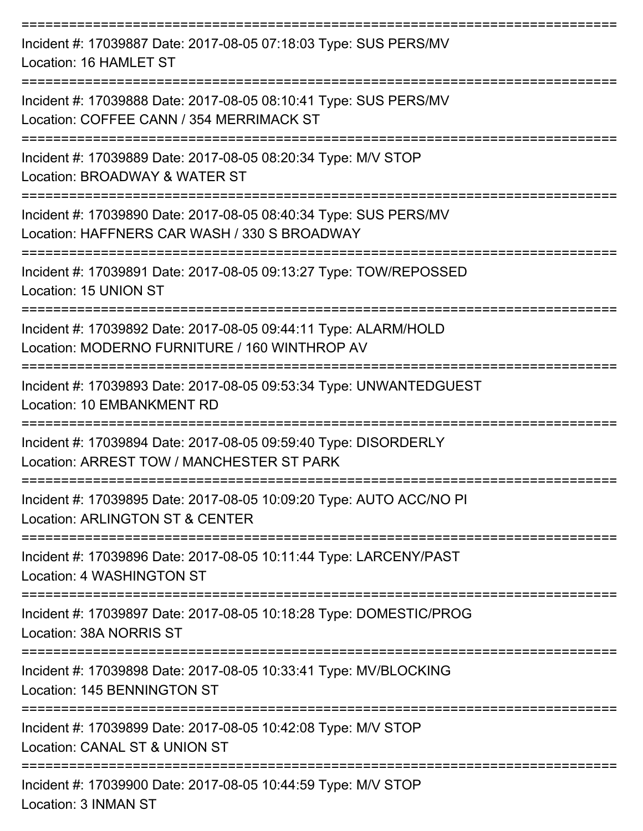| Incident #: 17039887 Date: 2017-08-05 07:18:03 Type: SUS PERS/MV<br>Location: 16 HAMLET ST                                                      |
|-------------------------------------------------------------------------------------------------------------------------------------------------|
| Incident #: 17039888 Date: 2017-08-05 08:10:41 Type: SUS PERS/MV<br>Location: COFFEE CANN / 354 MERRIMACK ST                                    |
| Incident #: 17039889 Date: 2017-08-05 08:20:34 Type: M/V STOP<br>Location: BROADWAY & WATER ST                                                  |
| Incident #: 17039890 Date: 2017-08-05 08:40:34 Type: SUS PERS/MV<br>Location: HAFFNERS CAR WASH / 330 S BROADWAY                                |
| Incident #: 17039891 Date: 2017-08-05 09:13:27 Type: TOW/REPOSSED<br>Location: 15 UNION ST                                                      |
| Incident #: 17039892 Date: 2017-08-05 09:44:11 Type: ALARM/HOLD<br>Location: MODERNO FURNITURE / 160 WINTHROP AV                                |
| Incident #: 17039893 Date: 2017-08-05 09:53:34 Type: UNWANTEDGUEST<br>Location: 10 EMBANKMENT RD                                                |
| Incident #: 17039894 Date: 2017-08-05 09:59:40 Type: DISORDERLY<br>Location: ARREST TOW / MANCHESTER ST PARK                                    |
| Incident #: 17039895 Date: 2017-08-05 10:09:20 Type: AUTO ACC/NO PI<br><b>Location: ARLINGTON ST &amp; CENTER</b>                               |
| Incident #: 17039896 Date: 2017-08-05 10:11:44 Type: LARCENY/PAST<br>Location: 4 WASHINGTON ST                                                  |
| Incident #: 17039897 Date: 2017-08-05 10:18:28 Type: DOMESTIC/PROG<br>Location: 38A NORRIS ST                                                   |
| _____________________________________<br>Incident #: 17039898 Date: 2017-08-05 10:33:41 Type: MV/BLOCKING<br><b>Location: 145 BENNINGTON ST</b> |
| Incident #: 17039899 Date: 2017-08-05 10:42:08 Type: M/V STOP<br>Location: CANAL ST & UNION ST                                                  |
| Incident #: 17039900 Date: 2017-08-05 10:44:59 Type: M/V STOP                                                                                   |

Location: 3 INMAN ST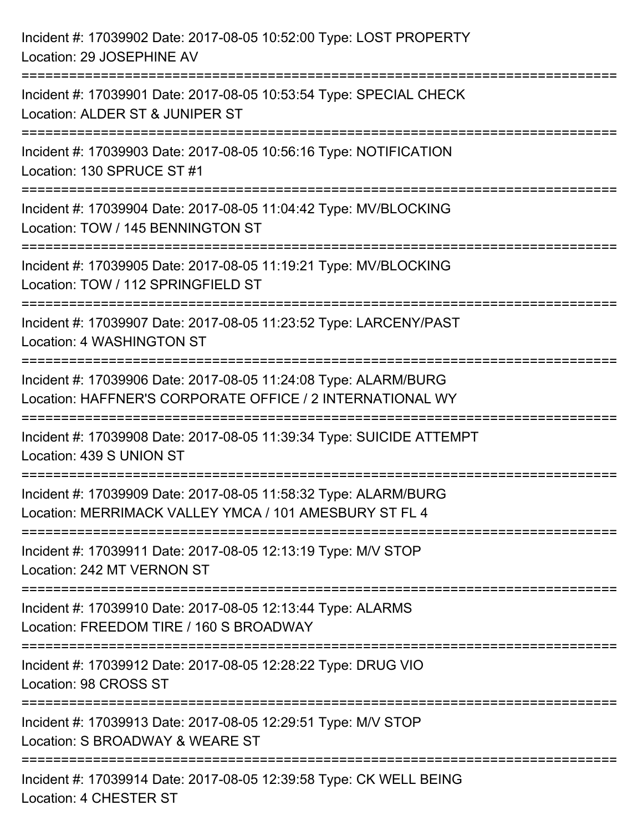| Incident #: 17039902 Date: 2017-08-05 10:52:00 Type: LOST PROPERTY<br>Location: 29 JOSEPHINE AV                                                |
|------------------------------------------------------------------------------------------------------------------------------------------------|
| Incident #: 17039901 Date: 2017-08-05 10:53:54 Type: SPECIAL CHECK<br>Location: ALDER ST & JUNIPER ST                                          |
| Incident #: 17039903 Date: 2017-08-05 10:56:16 Type: NOTIFICATION<br>Location: 130 SPRUCE ST #1                                                |
| =================================<br>Incident #: 17039904 Date: 2017-08-05 11:04:42 Type: MV/BLOCKING<br>Location: TOW / 145 BENNINGTON ST     |
| Incident #: 17039905 Date: 2017-08-05 11:19:21 Type: MV/BLOCKING<br>Location: TOW / 112 SPRINGFIELD ST<br>:=================================== |
| Incident #: 17039907 Date: 2017-08-05 11:23:52 Type: LARCENY/PAST<br>Location: 4 WASHINGTON ST                                                 |
| Incident #: 17039906 Date: 2017-08-05 11:24:08 Type: ALARM/BURG<br>Location: HAFFNER'S CORPORATE OFFICE / 2 INTERNATIONAL WY                   |
| Incident #: 17039908 Date: 2017-08-05 11:39:34 Type: SUICIDE ATTEMPT<br>Location: 439 S UNION ST                                               |
| Incident #: 17039909 Date: 2017-08-05 11:58:32 Type: ALARM/BURG<br>Location: MERRIMACK VALLEY YMCA / 101 AMESBURY ST FL 4                      |
| Incident #: 17039911 Date: 2017-08-05 12:13:19 Type: M/V STOP<br>Location: 242 MT VERNON ST                                                    |
| Incident #: 17039910 Date: 2017-08-05 12:13:44 Type: ALARMS<br>Location: FREEDOM TIRE / 160 S BROADWAY                                         |
| Incident #: 17039912 Date: 2017-08-05 12:28:22 Type: DRUG VIO<br>Location: 98 CROSS ST                                                         |
| Incident #: 17039913 Date: 2017-08-05 12:29:51 Type: M/V STOP<br>Location: S BROADWAY & WEARE ST                                               |
| Incident #: 17039914 Date: 2017-08-05 12:39:58 Type: CK WELL BEING<br>Location: 4 CHESTER ST                                                   |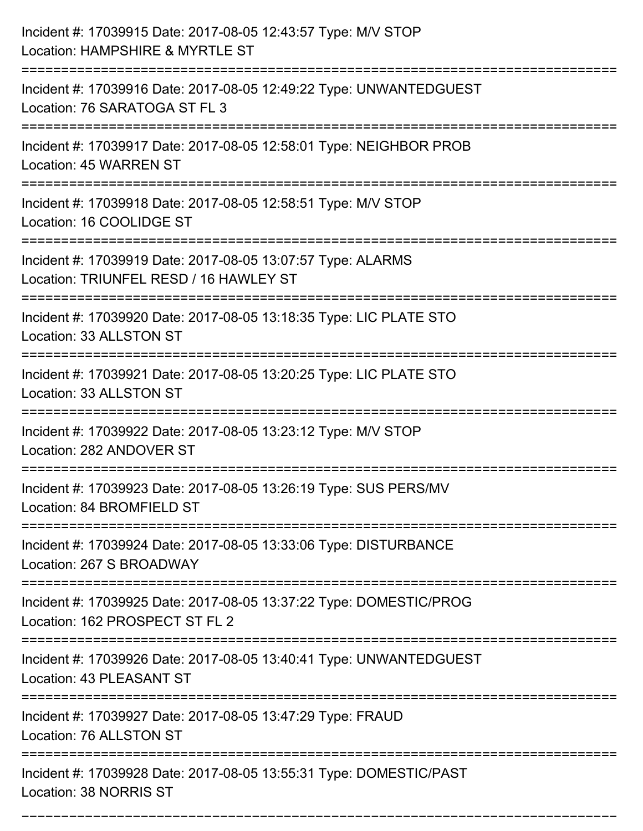| Incident #: 17039915 Date: 2017-08-05 12:43:57 Type: M/V STOP<br>Location: HAMPSHIRE & MYRTLE ST                                     |
|--------------------------------------------------------------------------------------------------------------------------------------|
| Incident #: 17039916 Date: 2017-08-05 12:49:22 Type: UNWANTEDGUEST<br>Location: 76 SARATOGA ST FL 3                                  |
| Incident #: 17039917 Date: 2017-08-05 12:58:01 Type: NEIGHBOR PROB<br>Location: 45 WARREN ST<br>:=================================== |
| Incident #: 17039918 Date: 2017-08-05 12:58:51 Type: M/V STOP<br>Location: 16 COOLIDGE ST                                            |
| Incident #: 17039919 Date: 2017-08-05 13:07:57 Type: ALARMS<br>Location: TRIUNFEL RESD / 16 HAWLEY ST                                |
| Incident #: 17039920 Date: 2017-08-05 13:18:35 Type: LIC PLATE STO<br>Location: 33 ALLSTON ST                                        |
| Incident #: 17039921 Date: 2017-08-05 13:20:25 Type: LIC PLATE STO<br>Location: 33 ALLSTON ST                                        |
| Incident #: 17039922 Date: 2017-08-05 13:23:12 Type: M/V STOP<br>Location: 282 ANDOVER ST                                            |
| Incident #: 17039923 Date: 2017-08-05 13:26:19 Type: SUS PERS/MV<br>Location: 84 BROMFIELD ST                                        |
| Incident #: 17039924 Date: 2017-08-05 13:33:06 Type: DISTURBANCE<br>Location: 267 S BROADWAY<br>------------------------------------ |
| Incident #: 17039925 Date: 2017-08-05 13:37:22 Type: DOMESTIC/PROG<br>Location: 162 PROSPECT ST FL 2                                 |
| Incident #: 17039926 Date: 2017-08-05 13:40:41 Type: UNWANTEDGUEST<br>Location: 43 PLEASANT ST                                       |
| Incident #: 17039927 Date: 2017-08-05 13:47:29 Type: FRAUD<br>Location: 76 ALLSTON ST                                                |
| Incident #: 17039928 Date: 2017-08-05 13:55:31 Type: DOMESTIC/PAST<br>Location: 38 NORRIS ST                                         |

===========================================================================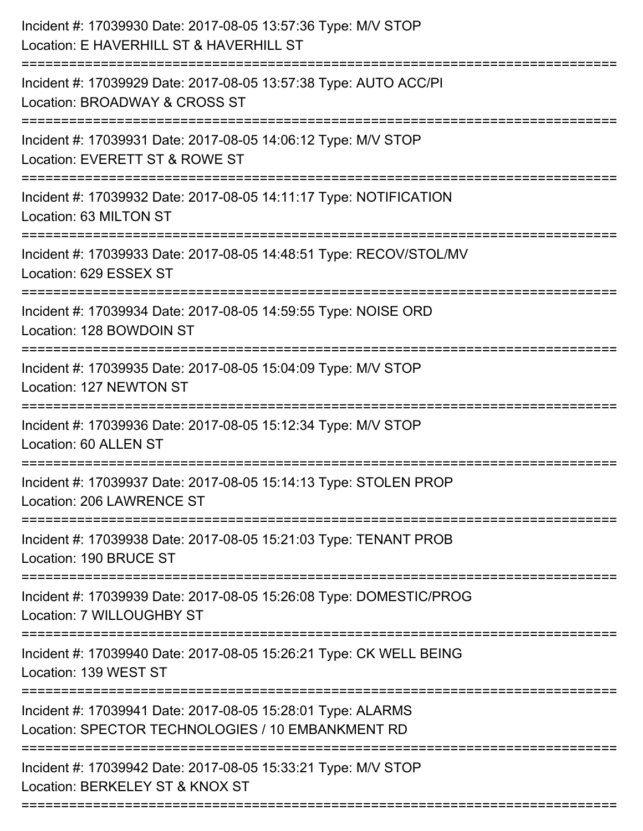| Incident #: 17039930 Date: 2017-08-05 13:57:36 Type: M/V STOP<br>Location: E HAVERHILL ST & HAVERHILL ST         |
|------------------------------------------------------------------------------------------------------------------|
| Incident #: 17039929 Date: 2017-08-05 13:57:38 Type: AUTO ACC/PI<br>Location: BROADWAY & CROSS ST                |
| Incident #: 17039931 Date: 2017-08-05 14:06:12 Type: M/V STOP<br>Location: EVERETT ST & ROWE ST                  |
| Incident #: 17039932 Date: 2017-08-05 14:11:17 Type: NOTIFICATION<br>Location: 63 MILTON ST                      |
| Incident #: 17039933 Date: 2017-08-05 14:48:51 Type: RECOV/STOL/MV<br>Location: 629 ESSEX ST                     |
| Incident #: 17039934 Date: 2017-08-05 14:59:55 Type: NOISE ORD<br>Location: 128 BOWDOIN ST                       |
| Incident #: 17039935 Date: 2017-08-05 15:04:09 Type: M/V STOP<br>Location: 127 NEWTON ST                         |
| Incident #: 17039936 Date: 2017-08-05 15:12:34 Type: M/V STOP<br>Location: 60 ALLEN ST                           |
| Incident #: 17039937 Date: 2017-08-05 15:14:13 Type: STOLEN PROP<br>Location: 206 LAWRENCE ST                    |
| Incident #: 17039938 Date: 2017-08-05 15:21:03 Type: TENANT PROB<br>Location: 190 BRUCE ST                       |
| Incident #: 17039939 Date: 2017-08-05 15:26:08 Type: DOMESTIC/PROG<br>Location: 7 WILLOUGHBY ST                  |
| Incident #: 17039940 Date: 2017-08-05 15:26:21 Type: CK WELL BEING<br>Location: 139 WEST ST                      |
| Incident #: 17039941 Date: 2017-08-05 15:28:01 Type: ALARMS<br>Location: SPECTOR TECHNOLOGIES / 10 EMBANKMENT RD |
| Incident #: 17039942 Date: 2017-08-05 15:33:21 Type: M/V STOP<br>Location: BERKELEY ST & KNOX ST                 |
|                                                                                                                  |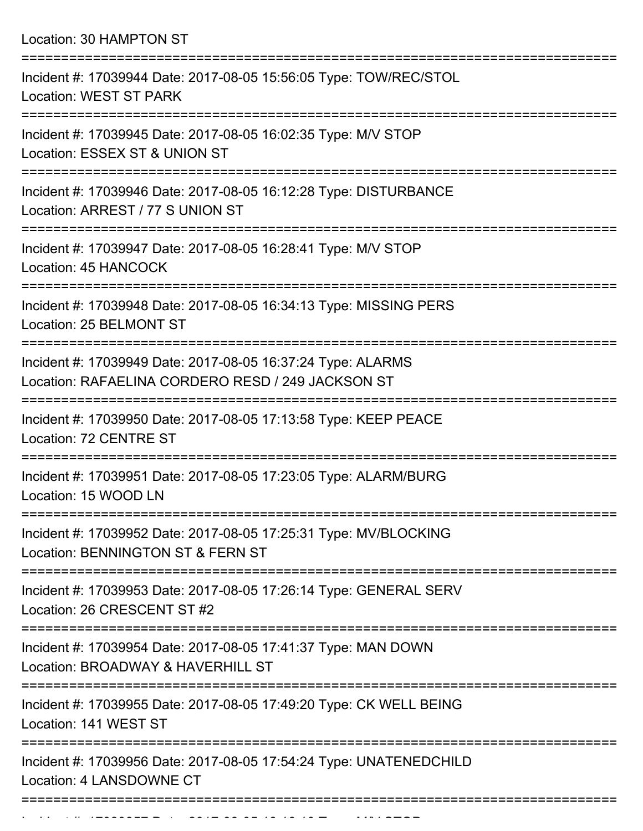Location: 30 HAMPTON ST

| Incident #: 17039944 Date: 2017-08-05 15:56:05 Type: TOW/REC/STOL<br><b>Location: WEST ST PARK</b>               |
|------------------------------------------------------------------------------------------------------------------|
| Incident #: 17039945 Date: 2017-08-05 16:02:35 Type: M/V STOP<br>Location: ESSEX ST & UNION ST                   |
| Incident #: 17039946 Date: 2017-08-05 16:12:28 Type: DISTURBANCE<br>Location: ARREST / 77 S UNION ST             |
| Incident #: 17039947 Date: 2017-08-05 16:28:41 Type: M/V STOP<br>Location: 45 HANCOCK                            |
| Incident #: 17039948 Date: 2017-08-05 16:34:13 Type: MISSING PERS<br>Location: 25 BELMONT ST                     |
| Incident #: 17039949 Date: 2017-08-05 16:37:24 Type: ALARMS<br>Location: RAFAELINA CORDERO RESD / 249 JACKSON ST |
| Incident #: 17039950 Date: 2017-08-05 17:13:58 Type: KEEP PEACE<br>Location: 72 CENTRE ST                        |
| Incident #: 17039951 Date: 2017-08-05 17:23:05 Type: ALARM/BURG<br>Location: 15 WOOD LN                          |
| Incident #: 17039952 Date: 2017-08-05 17:25:31 Type: MV/BLOCKING<br>Location: BENNINGTON ST & FERN ST            |
| Incident #: 17039953 Date: 2017-08-05 17:26:14 Type: GENERAL SERV<br>Location: 26 CRESCENT ST #2                 |
| Incident #: 17039954 Date: 2017-08-05 17:41:37 Type: MAN DOWN<br>Location: BROADWAY & HAVERHILL ST               |
| Incident #: 17039955 Date: 2017-08-05 17:49:20 Type: CK WELL BEING<br>Location: 141 WEST ST                      |
| Incident #: 17039956 Date: 2017-08-05 17:54:24 Type: UNATENEDCHILD<br>Location: 4 LANSDOWNE CT                   |
|                                                                                                                  |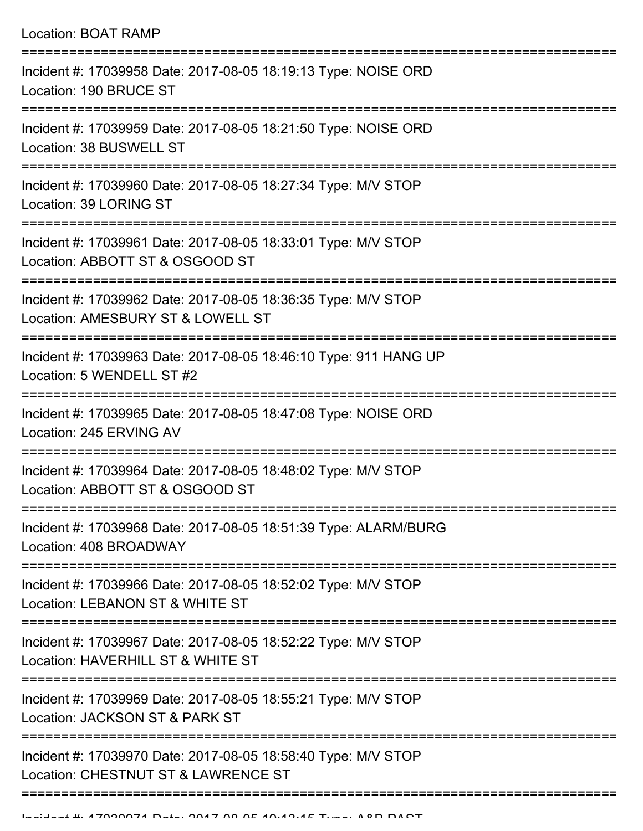|  | <b>Location: BOAT RAMP</b><br>==================================                                                                 |
|--|----------------------------------------------------------------------------------------------------------------------------------|
|  | Incident #: 17039958 Date: 2017-08-05 18:19:13 Type: NOISE ORD<br>Location: 190 BRUCE ST<br>===============                      |
|  | Incident #: 17039959 Date: 2017-08-05 18:21:50 Type: NOISE ORD<br>Location: 38 BUSWELL ST<br>;================================== |
|  | Incident #: 17039960 Date: 2017-08-05 18:27:34 Type: M/V STOP<br>Location: 39 LORING ST                                          |
|  | Incident #: 17039961 Date: 2017-08-05 18:33:01 Type: M/V STOP<br>Location: ABBOTT ST & OSGOOD ST                                 |
|  | Incident #: 17039962 Date: 2017-08-05 18:36:35 Type: M/V STOP<br>Location: AMESBURY ST & LOWELL ST                               |
|  | Incident #: 17039963 Date: 2017-08-05 18:46:10 Type: 911 HANG UP<br>Location: 5 WENDELL ST #2                                    |
|  | Incident #: 17039965 Date: 2017-08-05 18:47:08 Type: NOISE ORD<br>Location: 245 ERVING AV<br>:=================================  |
|  | Incident #: 17039964 Date: 2017-08-05 18:48:02 Type: M/V STOP<br>Location: ABBOTT ST & OSGOOD ST                                 |
|  | Incident #: 17039968 Date: 2017-08-05 18:51:39 Type: ALARM/BURG<br>Location: 408 BROADWAY                                        |
|  | Incident #: 17039966 Date: 2017-08-05 18:52:02 Type: M/V STOP<br>Location: LEBANON ST & WHITE ST                                 |
|  | Incident #: 17039967 Date: 2017-08-05 18:52:22 Type: M/V STOP<br>Location: HAVERHILL ST & WHITE ST                               |
|  | Incident #: 17039969 Date: 2017-08-05 18:55:21 Type: M/V STOP<br>Location: JACKSON ST & PARK ST                                  |
|  | Incident #: 17039970 Date: 2017-08-05 18:58:40 Type: M/V STOP                                                                    |

===========================================================================

Location: CHESTNUT ST & LAWRENCE ST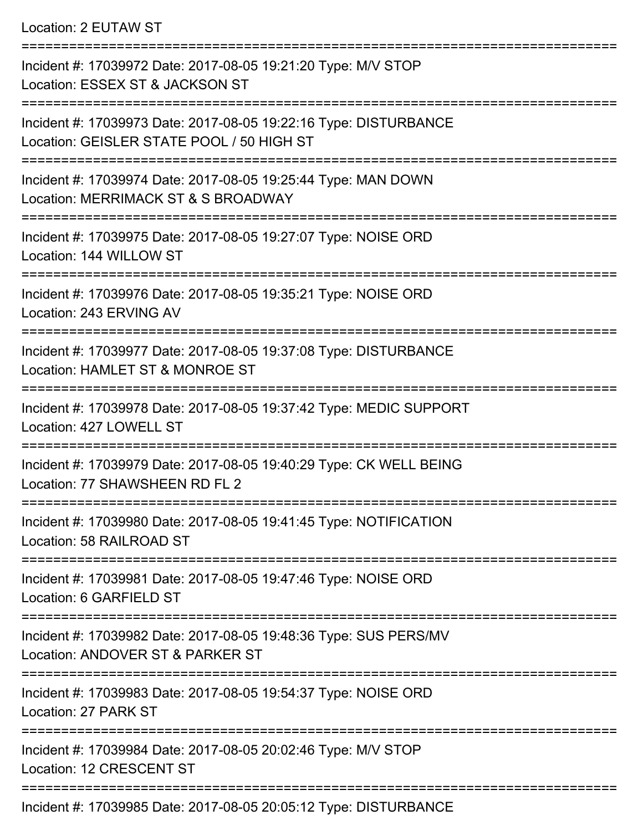Location: 2 EUTAW ST

| Incident #: 17039972 Date: 2017-08-05 19:21:20 Type: M/V STOP<br>Location: ESSEX ST & JACKSON ST              |
|---------------------------------------------------------------------------------------------------------------|
| Incident #: 17039973 Date: 2017-08-05 19:22:16 Type: DISTURBANCE<br>Location: GEISLER STATE POOL / 50 HIGH ST |
| Incident #: 17039974 Date: 2017-08-05 19:25:44 Type: MAN DOWN<br>Location: MERRIMACK ST & S BROADWAY          |
| Incident #: 17039975 Date: 2017-08-05 19:27:07 Type: NOISE ORD<br>Location: 144 WILLOW ST                     |
| Incident #: 17039976 Date: 2017-08-05 19:35:21 Type: NOISE ORD<br>Location: 243 ERVING AV                     |
| Incident #: 17039977 Date: 2017-08-05 19:37:08 Type: DISTURBANCE<br>Location: HAMLET ST & MONROE ST           |
| Incident #: 17039978 Date: 2017-08-05 19:37:42 Type: MEDIC SUPPORT<br>Location: 427 LOWELL ST                 |
| Incident #: 17039979 Date: 2017-08-05 19:40:29 Type: CK WELL BEING<br>Location: 77 SHAWSHEEN RD FL 2          |
| Incident #: 17039980 Date: 2017-08-05 19:41:45 Type: NOTIFICATION<br>Location: 58 RAILROAD ST                 |
| Incident #: 17039981 Date: 2017-08-05 19:47:46 Type: NOISE ORD<br>Location: 6 GARFIELD ST                     |
| Incident #: 17039982 Date: 2017-08-05 19:48:36 Type: SUS PERS/MV<br>Location: ANDOVER ST & PARKER ST          |
| Incident #: 17039983 Date: 2017-08-05 19:54:37 Type: NOISE ORD<br>Location: 27 PARK ST                        |
| Incident #: 17039984 Date: 2017-08-05 20:02:46 Type: M/V STOP<br>Location: 12 CRESCENT ST                     |
| Incident #: 17039985 Date: 2017-08-05 20:05:12 Type: DISTURBANCE                                              |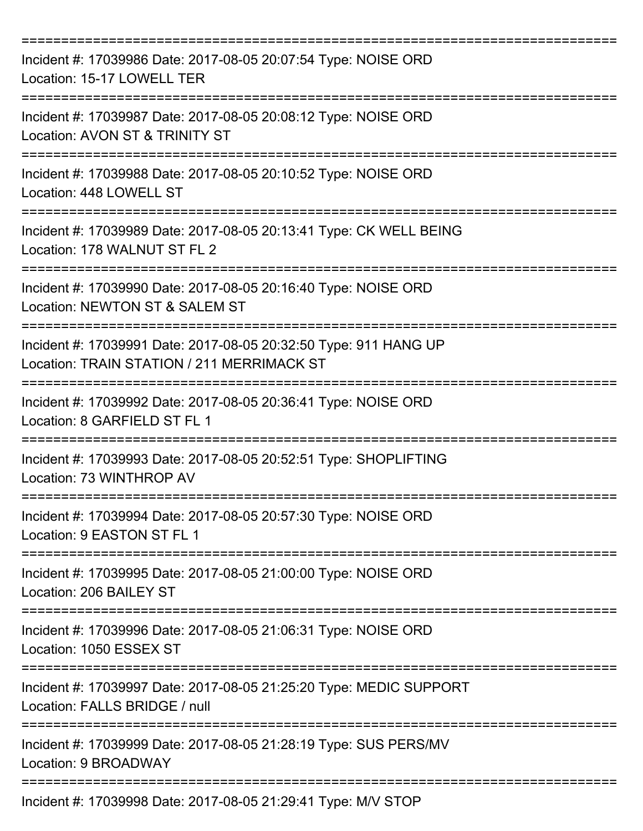| Incident #: 17039986 Date: 2017-08-05 20:07:54 Type: NOISE ORD<br>Location: 15-17 LOWELL TER                   |
|----------------------------------------------------------------------------------------------------------------|
| Incident #: 17039987 Date: 2017-08-05 20:08:12 Type: NOISE ORD<br>Location: AVON ST & TRINITY ST               |
| Incident #: 17039988 Date: 2017-08-05 20:10:52 Type: NOISE ORD<br>Location: 448 LOWELL ST                      |
| Incident #: 17039989 Date: 2017-08-05 20:13:41 Type: CK WELL BEING<br>Location: 178 WALNUT ST FL 2             |
| Incident #: 17039990 Date: 2017-08-05 20:16:40 Type: NOISE ORD<br>Location: NEWTON ST & SALEM ST               |
| Incident #: 17039991 Date: 2017-08-05 20:32:50 Type: 911 HANG UP<br>Location: TRAIN STATION / 211 MERRIMACK ST |
| Incident #: 17039992 Date: 2017-08-05 20:36:41 Type: NOISE ORD<br>Location: 8 GARFIELD ST FL 1<br>=========    |
| Incident #: 17039993 Date: 2017-08-05 20:52:51 Type: SHOPLIFTING<br>Location: 73 WINTHROP AV                   |
| Incident #: 17039994 Date: 2017-08-05 20:57:30 Type: NOISE ORD<br>Location: 9 EASTON ST FL 1                   |
| Incident #: 17039995 Date: 2017-08-05 21:00:00 Type: NOISE ORD<br>Location: 206 BAILEY ST                      |
| Incident #: 17039996 Date: 2017-08-05 21:06:31 Type: NOISE ORD<br>Location: 1050 ESSEX ST                      |
| Incident #: 17039997 Date: 2017-08-05 21:25:20 Type: MEDIC SUPPORT<br>Location: FALLS BRIDGE / null            |
| Incident #: 17039999 Date: 2017-08-05 21:28:19 Type: SUS PERS/MV<br>Location: 9 BROADWAY                       |
| Incident #: 17039998 Date: 2017-08-05 21:29:41 Type: M/V STOP                                                  |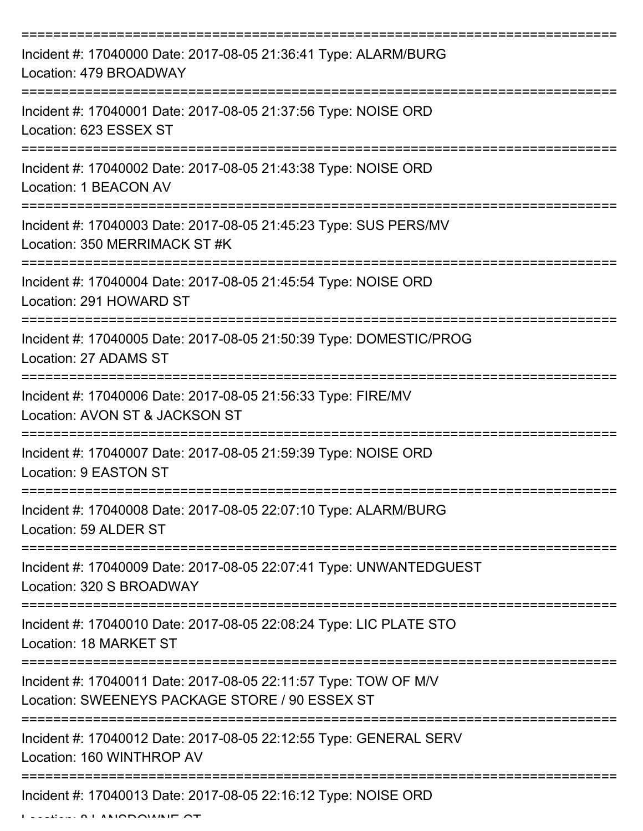| Incident #: 17040000 Date: 2017-08-05 21:36:41 Type: ALARM/BURG<br>Location: 479 BROADWAY                         |
|-------------------------------------------------------------------------------------------------------------------|
| Incident #: 17040001 Date: 2017-08-05 21:37:56 Type: NOISE ORD<br>Location: 623 ESSEX ST                          |
| Incident #: 17040002 Date: 2017-08-05 21:43:38 Type: NOISE ORD<br>Location: 1 BEACON AV                           |
| Incident #: 17040003 Date: 2017-08-05 21:45:23 Type: SUS PERS/MV<br>Location: 350 MERRIMACK ST#K                  |
| Incident #: 17040004 Date: 2017-08-05 21:45:54 Type: NOISE ORD<br>Location: 291 HOWARD ST                         |
| Incident #: 17040005 Date: 2017-08-05 21:50:39 Type: DOMESTIC/PROG<br>Location: 27 ADAMS ST                       |
| Incident #: 17040006 Date: 2017-08-05 21:56:33 Type: FIRE/MV<br>Location: AVON ST & JACKSON ST                    |
| Incident #: 17040007 Date: 2017-08-05 21:59:39 Type: NOISE ORD<br>Location: 9 EASTON ST                           |
| Incident #: 17040008 Date: 2017-08-05 22:07:10 Type: ALARM/BURG<br>Location: 59 ALDER ST                          |
| Incident #: 17040009 Date: 2017-08-05 22:07:41 Type: UNWANTEDGUEST<br>Location: 320 S BROADWAY                    |
| Incident #: 17040010 Date: 2017-08-05 22:08:24 Type: LIC PLATE STO<br>Location: 18 MARKET ST                      |
| Incident #: 17040011 Date: 2017-08-05 22:11:57 Type: TOW OF M/V<br>Location: SWEENEYS PACKAGE STORE / 90 ESSEX ST |
| Incident #: 17040012 Date: 2017-08-05 22:12:55 Type: GENERAL SERV<br>Location: 160 WINTHROP AV                    |
| Incident #: 17040013 Date: 2017-08-05 22:16:12 Type: NOISE ORD                                                    |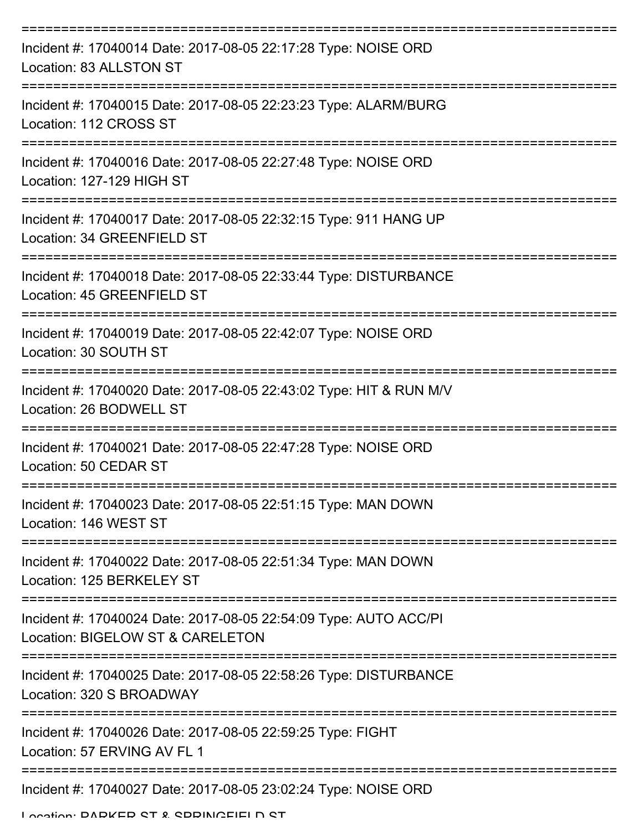| Incident #: 17040014 Date: 2017-08-05 22:17:28 Type: NOISE ORD<br>Location: 83 ALLSTON ST            |
|------------------------------------------------------------------------------------------------------|
| Incident #: 17040015 Date: 2017-08-05 22:23:23 Type: ALARM/BURG<br>Location: 112 CROSS ST            |
| Incident #: 17040016 Date: 2017-08-05 22:27:48 Type: NOISE ORD<br>Location: 127-129 HIGH ST          |
| Incident #: 17040017 Date: 2017-08-05 22:32:15 Type: 911 HANG UP<br>Location: 34 GREENFIELD ST       |
| Incident #: 17040018 Date: 2017-08-05 22:33:44 Type: DISTURBANCE<br>Location: 45 GREENFIELD ST       |
| Incident #: 17040019 Date: 2017-08-05 22:42:07 Type: NOISE ORD<br>Location: 30 SOUTH ST              |
| Incident #: 17040020 Date: 2017-08-05 22:43:02 Type: HIT & RUN M/V<br>Location: 26 BODWELL ST        |
| Incident #: 17040021 Date: 2017-08-05 22:47:28 Type: NOISE ORD<br>Location: 50 CEDAR ST              |
| Incident #: 17040023 Date: 2017-08-05 22:51:15 Type: MAN DOWN<br>Location: 146 WEST ST               |
| Incident #: 17040022 Date: 2017-08-05 22:51:34 Type: MAN DOWN<br>Location: 125 BERKELEY ST           |
| Incident #: 17040024 Date: 2017-08-05 22:54:09 Type: AUTO ACC/PI<br>Location: BIGELOW ST & CARELETON |
| Incident #: 17040025 Date: 2017-08-05 22:58:26 Type: DISTURBANCE<br>Location: 320 S BROADWAY         |
| Incident #: 17040026 Date: 2017-08-05 22:59:25 Type: FIGHT<br>Location: 57 ERVING AV FL 1            |
| Incident #: 17040027 Date: 2017-08-05 23:02:24 Type: NOISE ORD                                       |

Location: DADKED ST & SDDINICEIELD ST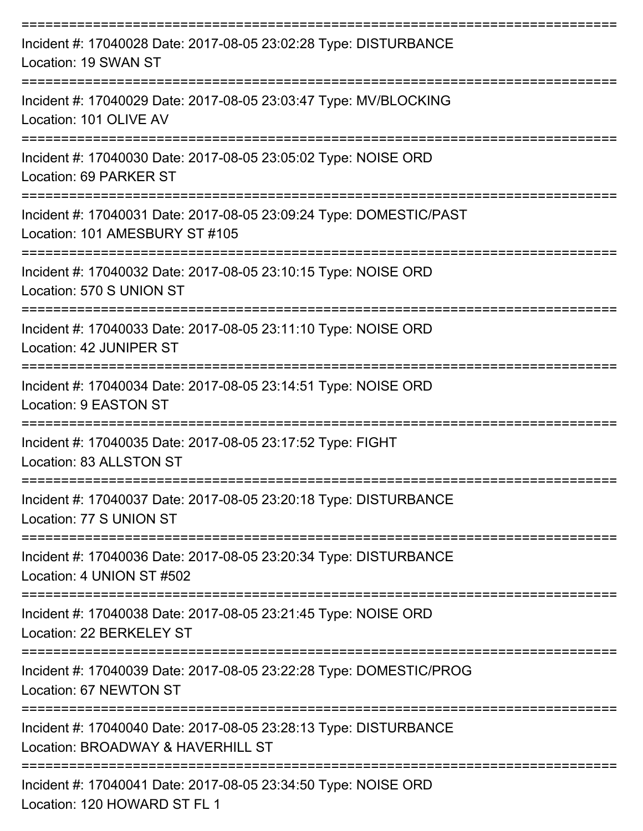| Incident #: 17040028 Date: 2017-08-05 23:02:28 Type: DISTURBANCE<br>Location: 19 SWAN ST                           |
|--------------------------------------------------------------------------------------------------------------------|
| Incident #: 17040029 Date: 2017-08-05 23:03:47 Type: MV/BLOCKING<br>Location: 101 OLIVE AV                         |
| Incident #: 17040030 Date: 2017-08-05 23:05:02 Type: NOISE ORD<br>Location: 69 PARKER ST                           |
| Incident #: 17040031 Date: 2017-08-05 23:09:24 Type: DOMESTIC/PAST<br>Location: 101 AMESBURY ST #105               |
| Incident #: 17040032 Date: 2017-08-05 23:10:15 Type: NOISE ORD<br>Location: 570 S UNION ST                         |
| Incident #: 17040033 Date: 2017-08-05 23:11:10 Type: NOISE ORD<br>Location: 42 JUNIPER ST                          |
| Incident #: 17040034 Date: 2017-08-05 23:14:51 Type: NOISE ORD<br>Location: 9 EASTON ST                            |
| Incident #: 17040035 Date: 2017-08-05 23:17:52 Type: FIGHT<br>Location: 83 ALLSTON ST                              |
| Incident #: 17040037 Date: 2017-08-05 23:20:18 Type: DISTURBANCE<br>Location: 77 S UNION ST                        |
| =================<br>Incident #: 17040036 Date: 2017-08-05 23:20:34 Type: DISTURBANCE<br>Location: 4 UNION ST #502 |
| Incident #: 17040038 Date: 2017-08-05 23:21:45 Type: NOISE ORD<br>Location: 22 BERKELEY ST                         |
| Incident #: 17040039 Date: 2017-08-05 23:22:28 Type: DOMESTIC/PROG<br>Location: 67 NEWTON ST                       |
| Incident #: 17040040 Date: 2017-08-05 23:28:13 Type: DISTURBANCE<br>Location: BROADWAY & HAVERHILL ST              |
| Incident #: 17040041 Date: 2017-08-05 23:34:50 Type: NOISE ORD                                                     |

Location: 120 HOWARD ST FL 1